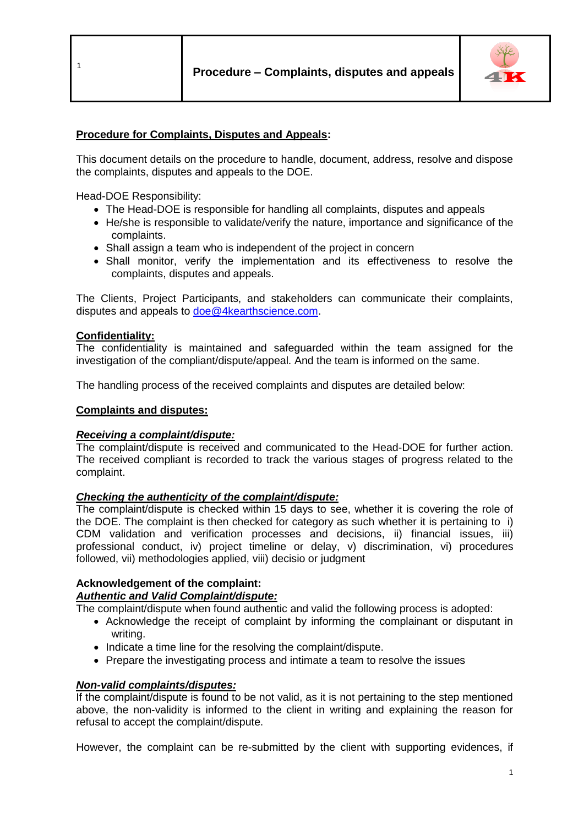# **Procedure for Complaints, Disputes and Appeals:**

This document details on the procedure to handle, document, address, resolve and dispose the complaints, disputes and appeals to the DOE.

Head-DOE Responsibility:

- The Head-DOE is responsible for handling all complaints, disputes and appeals
- He/she is responsible to validate/verify the nature, importance and significance of the complaints.
- Shall assign a team who is independent of the project in concern
- Shall monitor, verify the implementation and its effectiveness to resolve the complaints, disputes and appeals.

The Clients, Project Participants, and stakeholders can communicate their complaints, disputes and appeals to [doe@4kearthscience.com.](mailto:doe@4kearthscience.com)

### **Confidentiality:**

The confidentiality is maintained and safeguarded within the team assigned for the investigation of the compliant/dispute/appeal. And the team is informed on the same.

The handling process of the received complaints and disputes are detailed below:

### **Complaints and disputes:**

### *Receiving a complaint/dispute:*

The complaint/dispute is received and communicated to the Head-DOE for further action. The received compliant is recorded to track the various stages of progress related to the complaint.

### *Checking the authenticity of the complaint/dispute:*

The complaint/dispute is checked within 15 days to see, whether it is covering the role of the DOE. The complaint is then checked for category as such whether it is pertaining to i) CDM validation and verification processes and decisions, ii) financial issues, iii) professional conduct, iv) project timeline or delay, v) discrimination, vi) procedures followed, vii) methodologies applied, viii) decisio or judgment

# **Acknowledgement of the complaint:**

# *Authentic and Valid Complaint/dispute:*

The complaint/dispute when found authentic and valid the following process is adopted:

- Acknowledge the receipt of complaint by informing the complainant or disputant in writing.
- Indicate a time line for the resolving the complaint/dispute.
- Prepare the investigating process and intimate a team to resolve the issues

# *Non-valid complaints/disputes:*

If the complaint/dispute is found to be not valid, as it is not pertaining to the step mentioned above, the non-validity is informed to the client in writing and explaining the reason for refusal to accept the complaint/dispute.

However, the complaint can be re-submitted by the client with supporting evidences, if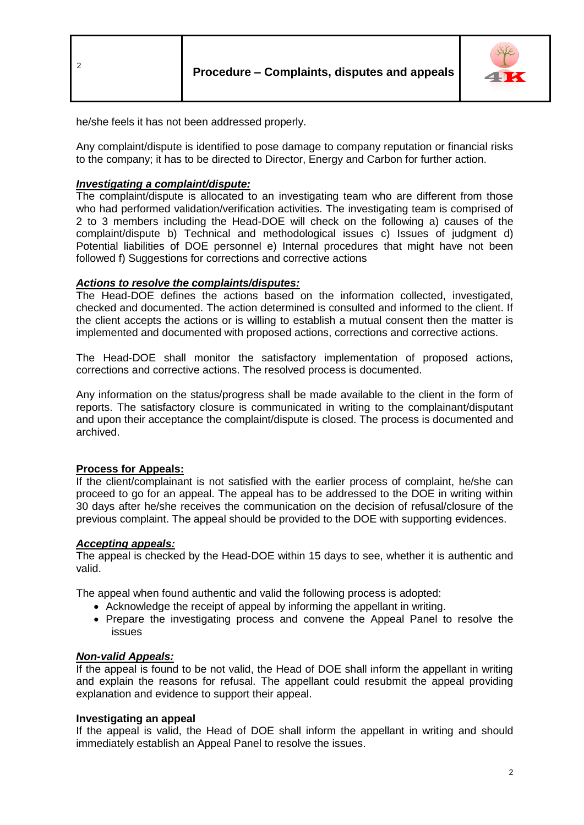



he/she feels it has not been addressed properly.

Any complaint/dispute is identified to pose damage to company reputation or financial risks to the company; it has to be directed to Director, Energy and Carbon for further action.

### *Investigating a complaint/dispute:*

The complaint/dispute is allocated to an investigating team who are different from those who had performed validation/verification activities. The investigating team is comprised of 2 to 3 members including the Head-DOE will check on the following a) causes of the complaint/dispute b) Technical and methodological issues c) Issues of judgment d) Potential liabilities of DOE personnel e) Internal procedures that might have not been followed f) Suggestions for corrections and corrective actions

### *Actions to resolve the complaints/disputes:*

The Head-DOE defines the actions based on the information collected, investigated, checked and documented. The action determined is consulted and informed to the client. If the client accepts the actions or is willing to establish a mutual consent then the matter is implemented and documented with proposed actions, corrections and corrective actions.

The Head-DOE shall monitor the satisfactory implementation of proposed actions, corrections and corrective actions. The resolved process is documented.

Any information on the status/progress shall be made available to the client in the form of reports. The satisfactory closure is communicated in writing to the complainant/disputant and upon their acceptance the complaint/dispute is closed. The process is documented and archived.

### **Process for Appeals:**

If the client/complainant is not satisfied with the earlier process of complaint, he/she can proceed to go for an appeal. The appeal has to be addressed to the DOE in writing within 30 days after he/she receives the communication on the decision of refusal/closure of the previous complaint. The appeal should be provided to the DOE with supporting evidences.

### *Accepting appeals:*

The appeal is checked by the Head-DOE within 15 days to see, whether it is authentic and valid.

The appeal when found authentic and valid the following process is adopted:

- Acknowledge the receipt of appeal by informing the appellant in writing.
- Prepare the investigating process and convene the Appeal Panel to resolve the issues

### *Non-valid Appeals:*

If the appeal is found to be not valid, the Head of DOE shall inform the appellant in writing and explain the reasons for refusal. The appellant could resubmit the appeal providing explanation and evidence to support their appeal.

### **Investigating an appeal**

If the appeal is valid, the Head of DOE shall inform the appellant in writing and should immediately establish an Appeal Panel to resolve the issues.